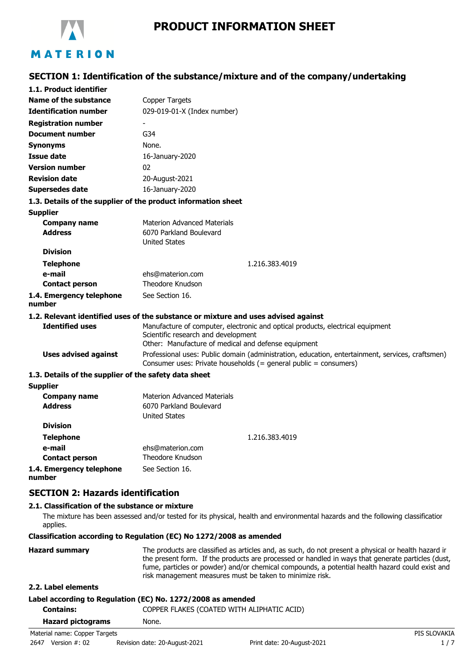

# **SECTION 1: Identification of the substance/mixture and of the company/undertaking**

| 1.1. Product identifier                               |                                                                                                                                                                              |
|-------------------------------------------------------|------------------------------------------------------------------------------------------------------------------------------------------------------------------------------|
| Name of the substance                                 | Copper Targets                                                                                                                                                               |
| <b>Identification number</b>                          | 029-019-01-X (Index number)                                                                                                                                                  |
| <b>Registration number</b>                            |                                                                                                                                                                              |
| <b>Document number</b>                                | G34                                                                                                                                                                          |
| <b>Synonyms</b>                                       | None.                                                                                                                                                                        |
| <b>Issue date</b>                                     | 16-January-2020                                                                                                                                                              |
| <b>Version number</b>                                 | 02                                                                                                                                                                           |
| <b>Revision date</b>                                  | 20-August-2021                                                                                                                                                               |
| <b>Supersedes date</b>                                | 16-January-2020                                                                                                                                                              |
|                                                       | 1.3. Details of the supplier of the product information sheet                                                                                                                |
| <b>Supplier</b>                                       |                                                                                                                                                                              |
| <b>Company name</b><br><b>Address</b>                 | <b>Materion Advanced Materials</b><br>6070 Parkland Boulevard<br><b>United States</b>                                                                                        |
| <b>Division</b>                                       |                                                                                                                                                                              |
| <b>Telephone</b>                                      | 1.216.383.4019                                                                                                                                                               |
| e-mail                                                | ehs@materion.com                                                                                                                                                             |
| <b>Contact person</b>                                 | Theodore Knudson                                                                                                                                                             |
| 1.4. Emergency telephone<br>number                    | See Section 16.                                                                                                                                                              |
|                                                       | 1.2. Relevant identified uses of the substance or mixture and uses advised against                                                                                           |
| <b>Identified uses</b>                                | Manufacture of computer, electronic and optical products, electrical equipment<br>Scientific research and development<br>Other: Manufacture of medical and defense equipment |
| <b>Uses advised against</b>                           | Professional uses: Public domain (administration, education, entertainment, services, craftsmen)<br>Consumer uses: Private households (= general public = consumers)         |
| 1.3. Details of the supplier of the safety data sheet |                                                                                                                                                                              |
| <b>Supplier</b>                                       |                                                                                                                                                                              |
| <b>Company name</b><br><b>Address</b>                 | <b>Materion Advanced Materials</b><br>6070 Parkland Boulevard<br><b>United States</b>                                                                                        |
| <b>Division</b>                                       |                                                                                                                                                                              |
| <b>Telephone</b>                                      | 1.216.383.4019                                                                                                                                                               |
| e-mail                                                | ehs@materion.com                                                                                                                                                             |
| <b>Contact person</b>                                 | Theodore Knudson                                                                                                                                                             |
| 1.4. Emergency telephone                              | See Section 16.                                                                                                                                                              |

**number**

### **SECTION 2: Hazards identification**

#### **2.1. Classification of the substance or mixture**

The mixture has been assessed and/or tested for its physical, health and environmental hazards and the following classification applies.

#### **Classification according to Regulation (EC) No 1272/2008 as amended**

| <b>Hazard summary</b> | The products are classified as articles and, as such, do not present a physical or health hazard ir |
|-----------------------|-----------------------------------------------------------------------------------------------------|
|                       | the present form. If the products are processed or handled in ways that generate particles (dust,   |
|                       | fume, particles or powder) and/or chemical compounds, a potential health hazard could exist and     |
|                       | risk management measures must be taken to minimize risk.                                            |

### **2.2. Label elements**

### **Label according to Regulation (EC) No. 1272/2008 as amended**

| Contains:                     | COPPER FLAKES (COATED WITH ALIPHATIC ACID) |              |
|-------------------------------|--------------------------------------------|--------------|
| <b>Hazard pictograms</b>      | None.                                      |              |
| Material name: Copper Targets |                                            | PIS SLOVAKIA |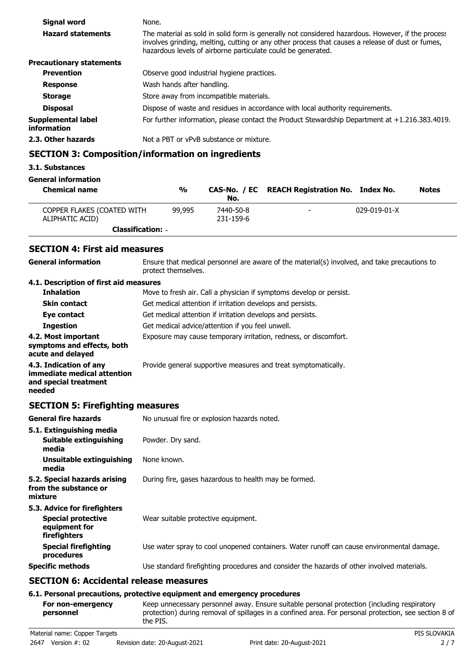| <b>Signal word</b>                | None.                                                                                                                                                                                                                                                                 |
|-----------------------------------|-----------------------------------------------------------------------------------------------------------------------------------------------------------------------------------------------------------------------------------------------------------------------|
| <b>Hazard statements</b>          | The material as sold in solid form is generally not considered hazardous. However, if the process<br>involves grinding, melting, cutting or any other process that causes a release of dust or fumes,<br>hazardous levels of airborne particulate could be generated. |
| <b>Precautionary statements</b>   |                                                                                                                                                                                                                                                                       |
| <b>Prevention</b>                 | Observe good industrial hygiene practices.                                                                                                                                                                                                                            |
| <b>Response</b>                   | Wash hands after handling.                                                                                                                                                                                                                                            |
| <b>Storage</b>                    | Store away from incompatible materials.                                                                                                                                                                                                                               |
| <b>Disposal</b>                   | Dispose of waste and residues in accordance with local authority requirements.                                                                                                                                                                                        |
| Supplemental label<br>information | For further information, please contact the Product Stewardship Department at +1.216.383.4019.                                                                                                                                                                        |
| 2.3. Other hazards                | Not a PBT or vPvB substance or mixture.                                                                                                                                                                                                                               |
|                                   |                                                                                                                                                                                                                                                                       |

# **SECTION 3: Composition/information on ingredients**

#### **3.1. Substances**

**General information**

| <b>Chemical name</b>                          | %      | No.                    | CAS-No. / EC REACH Registration No. Index No. |                      | <b>Notes</b> |
|-----------------------------------------------|--------|------------------------|-----------------------------------------------|----------------------|--------------|
| COPPER FLAKES (COATED WITH<br>ALIPHATIC ACID) | 99,995 | 7440-50-8<br>231-159-6 | $\overline{\phantom{a}}$                      | $029 - 019 - 01 - X$ |              |
| <b>Classification: -</b>                      |        |                        |                                               |                      |              |

### **SECTION 4: First aid measures**

Ensure that medical personnel are aware of the material(s) involved, and take precautions to protect themselves. **General information 4.1. Description of first aid measures Inhalation** Move to fresh air. Call a physician if symptoms develop or persist. **Skin contact Get medical attention if irritation develops and persists. Eye contact** Get medical attention if irritation develops and persists. **Ingestion Get medical advice/attention if you feel unwell. 4.2. Most important** Exposure may cause temporary irritation, redness, or discomfort. **symptoms and effects, both acute and delayed 4.3. Indication of any Provide general supportive measures and treat symptomatically. immediate medical attention and special treatment needed**

### **SECTION 5: Firefighting measures**

| <b>General fire hazards</b>                                                                | No unusual fire or explosion hazards noted.                                                |
|--------------------------------------------------------------------------------------------|--------------------------------------------------------------------------------------------|
| 5.1. Extinguishing media                                                                   |                                                                                            |
| Suitable extinguishing<br>media                                                            | Powder. Dry sand.                                                                          |
| Unsuitable extinguishing<br>media                                                          | None known.                                                                                |
| 5.2. Special hazards arising<br>from the substance or<br>mixture                           | During fire, gases hazardous to health may be formed.                                      |
| 5.3. Advice for firefighters<br><b>Special protective</b><br>equipment for<br>firefighters | Wear suitable protective equipment.                                                        |
| <b>Special firefighting</b><br>procedures                                                  | Use water spray to cool unopened containers. Water runoff can cause environmental damage.  |
| <b>Specific methods</b>                                                                    | Use standard firefighting procedures and consider the hazards of other involved materials. |
|                                                                                            |                                                                                            |

# **SECTION 6: Accidental release measures**

#### **6.1. Personal precautions, protective equipment and emergency procedures**

Keep unnecessary personnel away. Ensure suitable personal protection (including respiratory protection) during removal of spillages in a confined area. For personal protection, see section 8 of the PIS. **For non-emergency personnel**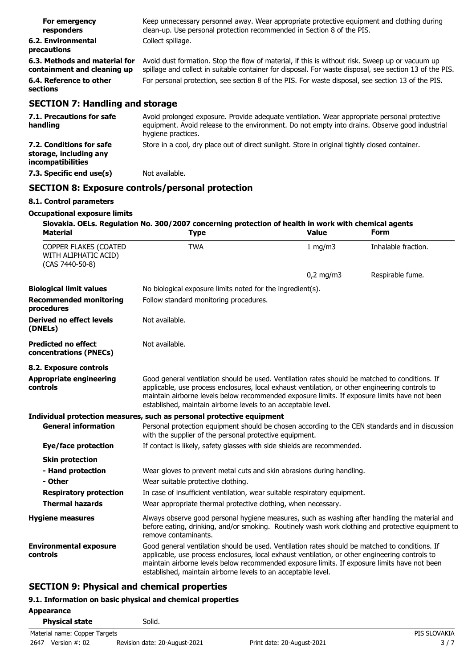| For emergency<br>responders                                  | Keep unnecessary personnel away. Wear appropriate protective equipment and clothing during<br>clean-up. Use personal protection recommended in Section 8 of the PIS.                                       |
|--------------------------------------------------------------|------------------------------------------------------------------------------------------------------------------------------------------------------------------------------------------------------------|
| 6.2. Environmental<br>precautions                            | Collect spillage.                                                                                                                                                                                          |
| 6.3. Methods and material for<br>containment and cleaning up | Avoid dust formation. Stop the flow of material, if this is without risk. Sweep up or vacuum up<br>spillage and collect in suitable container for disposal. For waste disposal, see section 13 of the PIS. |
| 6.4. Reference to other<br>sections                          | For personal protection, see section 8 of the PIS. For waste disposal, see section 13 of the PIS.                                                                                                          |
| <b>SECTION 7: Handling and storage</b>                       |                                                                                                                                                                                                            |
| <b>7.1. Precautions for safe</b>                             | Avoid prolonged exposure Provide adequate ventilation Wear appropriate personal protective                                                                                                                 |

| 7.1. Precautions for safe<br>handling                                          | Avoid prolonged exposure. Provide adequate ventilation. Wear appropriate personal protective<br>equipment. Avoid release to the environment. Do not empty into drains. Observe good industrial<br>hygiene practices. |
|--------------------------------------------------------------------------------|----------------------------------------------------------------------------------------------------------------------------------------------------------------------------------------------------------------------|
| 7.2. Conditions for safe<br>storage, including any<br><i>incompatibilities</i> | Store in a cool, dry place out of direct sunlight. Store in original tightly closed container.                                                                                                                       |
| 7.3. Specific end use(s)                                                       | Not available.                                                                                                                                                                                                       |

# **SECTION 8: Exposure controls/personal protection**

### **8.1. Control parameters**

### **Occupational exposure limits**

| <b>Material</b>                                                  | Slovakia. OELs. Regulation No. 300/2007 concerning protection of health in work with chemical agents<br><b>Type</b>                                                                                                                                                                                                                                                | <b>Value</b> | Form                |
|------------------------------------------------------------------|--------------------------------------------------------------------------------------------------------------------------------------------------------------------------------------------------------------------------------------------------------------------------------------------------------------------------------------------------------------------|--------------|---------------------|
| COPPER FLAKES (COATED<br>WITH ALIPHATIC ACID)<br>(CAS 7440-50-8) | <b>TWA</b>                                                                                                                                                                                                                                                                                                                                                         | 1 mg/m3      | Inhalable fraction. |
|                                                                  |                                                                                                                                                                                                                                                                                                                                                                    | $0,2$ mg/m3  | Respirable fume.    |
| <b>Biological limit values</b>                                   | No biological exposure limits noted for the ingredient(s).                                                                                                                                                                                                                                                                                                         |              |                     |
| <b>Recommended monitoring</b><br>procedures                      | Follow standard monitoring procedures.                                                                                                                                                                                                                                                                                                                             |              |                     |
| <b>Derived no effect levels</b><br>(DNELs)                       | Not available.                                                                                                                                                                                                                                                                                                                                                     |              |                     |
| <b>Predicted no effect</b><br>concentrations (PNECs)             | Not available.                                                                                                                                                                                                                                                                                                                                                     |              |                     |
| 8.2. Exposure controls                                           |                                                                                                                                                                                                                                                                                                                                                                    |              |                     |
| <b>Appropriate engineering</b><br>controls                       | Good general ventilation should be used. Ventilation rates should be matched to conditions. If<br>applicable, use process enclosures, local exhaust ventilation, or other engineering controls to<br>maintain airborne levels below recommended exposure limits. If exposure limits have not been<br>established, maintain airborne levels to an acceptable level. |              |                     |
|                                                                  | Individual protection measures, such as personal protective equipment                                                                                                                                                                                                                                                                                              |              |                     |
| <b>General information</b>                                       | Personal protection equipment should be chosen according to the CEN standards and in discussion<br>with the supplier of the personal protective equipment.                                                                                                                                                                                                         |              |                     |
| Eye/face protection                                              | If contact is likely, safety glasses with side shields are recommended.                                                                                                                                                                                                                                                                                            |              |                     |
| <b>Skin protection</b>                                           |                                                                                                                                                                                                                                                                                                                                                                    |              |                     |
| - Hand protection                                                | Wear gloves to prevent metal cuts and skin abrasions during handling.                                                                                                                                                                                                                                                                                              |              |                     |
| - Other                                                          | Wear suitable protective clothing.                                                                                                                                                                                                                                                                                                                                 |              |                     |
| <b>Respiratory protection</b>                                    | In case of insufficient ventilation, wear suitable respiratory equipment.                                                                                                                                                                                                                                                                                          |              |                     |
| <b>Thermal hazards</b>                                           | Wear appropriate thermal protective clothing, when necessary.                                                                                                                                                                                                                                                                                                      |              |                     |
| <b>Hygiene measures</b>                                          | Always observe good personal hygiene measures, such as washing after handling the material and<br>before eating, drinking, and/or smoking. Routinely wash work clothing and protective equipment to<br>remove contaminants.                                                                                                                                        |              |                     |
| <b>Environmental exposure</b><br>controls                        | Good general ventilation should be used. Ventilation rates should be matched to conditions. If<br>applicable, use process enclosures, local exhaust ventilation, or other engineering controls to<br>maintain airborne levels below recommended exposure limits. If exposure limits have not been<br>established, maintain airborne levels to an acceptable level. |              |                     |

# **SECTION 9: Physical and chemical properties**

# **9.1. Information on basic physical and chemical properties**

| Appearance                    |                               |                            |              |
|-------------------------------|-------------------------------|----------------------------|--------------|
| <b>Physical state</b>         | Solid.                        |                            |              |
| Material name: Copper Targets |                               |                            | PIS SLOVAKIA |
| 2647<br>Version #: 02         | Revision date: 20-August-2021 | Print date: 20-August-2021 | 3/7          |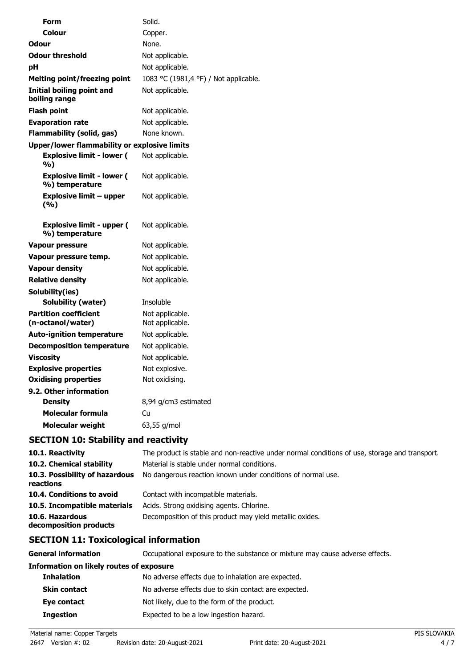| Form                                               | Solid.                                |
|----------------------------------------------------|---------------------------------------|
| Colour                                             | Copper.                               |
| <b>Odour</b>                                       | None.                                 |
| <b>Odour threshold</b>                             | Not applicable.                       |
| рH                                                 | Not applicable.                       |
| Melting point/freezing point                       | 1083 °C (1981,4 °F) / Not applicable. |
| Initial boiling point and<br>boiling range         | Not applicable.                       |
| Flash point                                        | Not applicable.                       |
| <b>Evaporation rate</b>                            | Not applicable.                       |
| <b>Flammability (solid, gas)</b>                   | None known.                           |
| Upper/lower flammability or explosive limits       |                                       |
| <b>Explosive limit - lower (</b><br>%)             | Not applicable.                       |
| <b>Explosive limit - lower (</b><br>%) temperature | Not applicable.                       |
| <b>Explosive limit - upper</b><br>(%)              | Not applicable.                       |
| <b>Explosive limit - upper (</b><br>%) temperature | Not applicable.                       |
| <b>Vapour pressure</b>                             | Not applicable.                       |
| Vapour pressure temp.                              | Not applicable.                       |
| <b>Vapour density</b>                              | Not applicable.                       |
| <b>Relative density</b>                            | Not applicable.                       |
| Solubility(ies)                                    |                                       |
| Solubility (water)                                 | Insoluble                             |
| <b>Partition coefficient</b><br>(n-octanol/water)  | Not applicable.<br>Not applicable.    |
| <b>Auto-ignition temperature</b>                   | Not applicable.                       |
| <b>Decomposition temperature</b>                   | Not applicable.                       |
| <b>Viscosity</b>                                   | Not applicable.                       |
| <b>Explosive properties</b>                        | Not explosive.                        |
| <b>Oxidising properties</b>                        | Not oxidising.                        |
| 9.2. Other information                             |                                       |
| <b>Density</b>                                     | 8,94 g/cm3 estimated                  |
| <b>Molecular formula</b>                           | Cu                                    |
| Molecular weight                                   | 63,55 g/mol                           |

# **SECTION 10: Stability and reactivity**

| 10.1. Reactivity                            | The product is stable and non-reactive under normal conditions of use, storage and transport |
|---------------------------------------------|----------------------------------------------------------------------------------------------|
| 10.2. Chemical stability                    | Material is stable under normal conditions.                                                  |
| 10.3. Possibility of hazardous<br>reactions | No dangerous reaction known under conditions of normal use.                                  |
| 10.4. Conditions to avoid                   | Contact with incompatible materials.                                                         |
| 10.5. Incompatible materials                | Acids. Strong oxidising agents. Chlorine.                                                    |
| 10.6. Hazardous<br>decomposition products   | Decomposition of this product may yield metallic oxides.                                     |

# **SECTION 11: Toxicological information**

| General information                      | Occupational exposure to the substance or mixture may cause adverse effects. |  |
|------------------------------------------|------------------------------------------------------------------------------|--|
| Information on likely routes of exposure |                                                                              |  |
| <b>Inhalation</b>                        | No adverse effects due to inhalation are expected.                           |  |
| <b>Skin contact</b>                      | No adverse effects due to skin contact are expected.                         |  |
| Eye contact                              | Not likely, due to the form of the product.                                  |  |
| <b>Ingestion</b>                         | Expected to be a low ingestion hazard.                                       |  |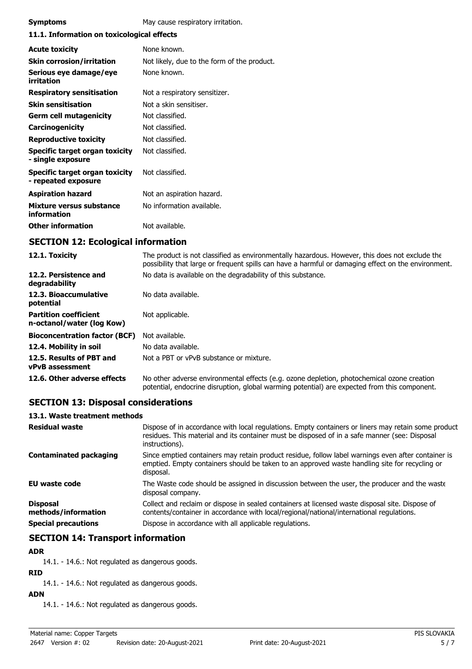| <b>Symptoms</b>                                       | May cause respiratory irritation.           |  |
|-------------------------------------------------------|---------------------------------------------|--|
| 11.1. Information on toxicological effects            |                                             |  |
| <b>Acute toxicity</b>                                 | None known.                                 |  |
| <b>Skin corrosion/irritation</b>                      | Not likely, due to the form of the product. |  |
| Serious eye damage/eye<br>irritation                  | None known.                                 |  |
| <b>Respiratory sensitisation</b>                      | Not a respiratory sensitizer.               |  |
| <b>Skin sensitisation</b>                             | Not a skin sensitiser.                      |  |
| <b>Germ cell mutagenicity</b>                         | Not classified.                             |  |
| <b>Carcinogenicity</b>                                | Not classified.                             |  |
| <b>Reproductive toxicity</b>                          | Not classified.                             |  |
| Specific target organ toxicity<br>- single exposure   | Not classified.                             |  |
| Specific target organ toxicity<br>- repeated exposure | Not classified.                             |  |
| <b>Aspiration hazard</b>                              | Not an aspiration hazard.                   |  |
| Mixture versus substance<br>information               | No information available.                   |  |
| <b>Other information</b>                              | Not available.                              |  |

# **SECTION 12: Ecological information**

| 12.1. Toxicity                                            | The product is not classified as environmentally hazardous. However, this does not exclude the<br>possibility that large or frequent spills can have a harmful or damaging effect on the environment. |
|-----------------------------------------------------------|-------------------------------------------------------------------------------------------------------------------------------------------------------------------------------------------------------|
| 12.2. Persistence and<br>degradability                    | No data is available on the degradability of this substance.                                                                                                                                          |
| 12.3. Bioaccumulative<br>potential                        | No data available.                                                                                                                                                                                    |
| <b>Partition coefficient</b><br>n-octanol/water (log Kow) | Not applicable.                                                                                                                                                                                       |
| <b>Bioconcentration factor (BCF)</b>                      | Not available.                                                                                                                                                                                        |
| 12.4. Mobility in soil                                    | No data available.                                                                                                                                                                                    |
| 12.5. Results of PBT and<br><b>vPvB</b> assessment        | Not a PBT or vPvB substance or mixture.                                                                                                                                                               |
| 12.6. Other adverse effects                               | No other adverse environmental effects (e.g. ozone depletion, photochemical ozone creation<br>potential, endocrine disruption, global warming potential) are expected from this component.            |

### **SECTION 13: Disposal considerations**

### **13.1. Waste treatment methods**

| <b>Residual waste</b>                                                | Dispose of in accordance with local regulations. Empty containers or liners may retain some product<br>residues. This material and its container must be disposed of in a safe manner (see: Disposal<br>instructions).                                |
|----------------------------------------------------------------------|-------------------------------------------------------------------------------------------------------------------------------------------------------------------------------------------------------------------------------------------------------|
| <b>Contaminated packaging</b>                                        | Since emptied containers may retain product residue, follow label warnings even after container is<br>emptied. Empty containers should be taken to an approved waste handling site for recycling or<br>disposal.                                      |
| <b>EU waste code</b>                                                 | The Waste code should be assigned in discussion between the user, the producer and the waste<br>disposal company.                                                                                                                                     |
| <b>Disposal</b><br>methods/information<br><b>Special precautions</b> | Collect and reclaim or dispose in sealed containers at licensed waste disposal site. Dispose of<br>contents/container in accordance with local/regional/national/international regulations.<br>Dispose in accordance with all applicable regulations. |
|                                                                      |                                                                                                                                                                                                                                                       |

### **SECTION 14: Transport information**

#### **ADR**

14.1. - 14.6.: Not regulated as dangerous goods.

### **RID**

14.1. - 14.6.: Not regulated as dangerous goods.

### **ADN**

14.1. - 14.6.: Not regulated as dangerous goods.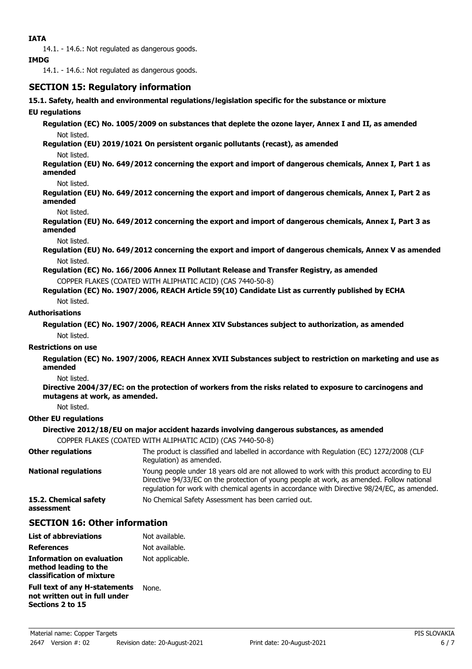14.1. - 14.6.: Not regulated as dangerous goods.

#### **IMDG**

14.1. - 14.6.: Not regulated as dangerous goods.

### **SECTION 15: Regulatory information**

#### **15.1. Safety, health and environmental regulations/legislation specific for the substance or mixture**

#### **EU regulations**

**Regulation (EC) No. 1005/2009 on substances that deplete the ozone layer, Annex I and II, as amended** Not listed.

**Regulation (EU) 2019/1021 On persistent organic pollutants (recast), as amended** Not listed.

**Regulation (EU) No. 649/2012 concerning the export and import of dangerous chemicals, Annex I, Part 1 as amended**

#### Not listed.

**Regulation (EU) No. 649/2012 concerning the export and import of dangerous chemicals, Annex I, Part 2 as amended**

#### Not listed.

**Regulation (EU) No. 649/2012 concerning the export and import of dangerous chemicals, Annex I, Part 3 as amended**

Not listed.

**Regulation (EU) No. 649/2012 concerning the export and import of dangerous chemicals, Annex V as amended** Not listed.

**Regulation (EC) No. 166/2006 Annex II Pollutant Release and Transfer Registry, as amended**

COPPER FLAKES (COATED WITH ALIPHATIC ACID) (CAS 7440-50-8)

**Regulation (EC) No. 1907/2006, REACH Article 59(10) Candidate List as currently published by ECHA** Not listed.

#### **Authorisations**

**Regulation (EC) No. 1907/2006, REACH Annex XIV Substances subject to authorization, as amended** Not listed.

#### **Restrictions on use**

**Regulation (EC) No. 1907/2006, REACH Annex XVII Substances subject to restriction on marketing and use as amended**

Not listed.

**Directive 2004/37/EC: on the protection of workers from the risks related to exposure to carcinogens and mutagens at work, as amended.**

Not listed.

#### **Other EU regulations**

#### **Directive 2012/18/EU on major accident hazards involving dangerous substances, as amended**

COPPER FLAKES (COATED WITH ALIPHATIC ACID) (CAS 7440-50-8)

| <b>Other regulations</b>            | The product is classified and labelled in accordance with Regulation (EC) 1272/2008 (CLP<br>Regulation) as amended.                                                                                                                                                                   |
|-------------------------------------|---------------------------------------------------------------------------------------------------------------------------------------------------------------------------------------------------------------------------------------------------------------------------------------|
| <b>National regulations</b>         | Young people under 18 years old are not allowed to work with this product according to EU<br>Directive 94/33/EC on the protection of young people at work, as amended. Follow national<br>regulation for work with chemical agents in accordance with Directive 98/24/EC, as amended. |
| 15.2. Chemical safety<br>assessment | No Chemical Safety Assessment has been carried out.                                                                                                                                                                                                                                   |

### **SECTION 16: Other information**

| <b>List of abbreviations</b>                                                              | Not available.  |
|-------------------------------------------------------------------------------------------|-----------------|
| <b>References</b>                                                                         | Not available.  |
| Information on evaluation<br>method leading to the<br>classification of mixture           | Not applicable. |
| <b>Full text of any H-statements</b><br>not written out in full under<br>Sections 2 to 15 | None.           |